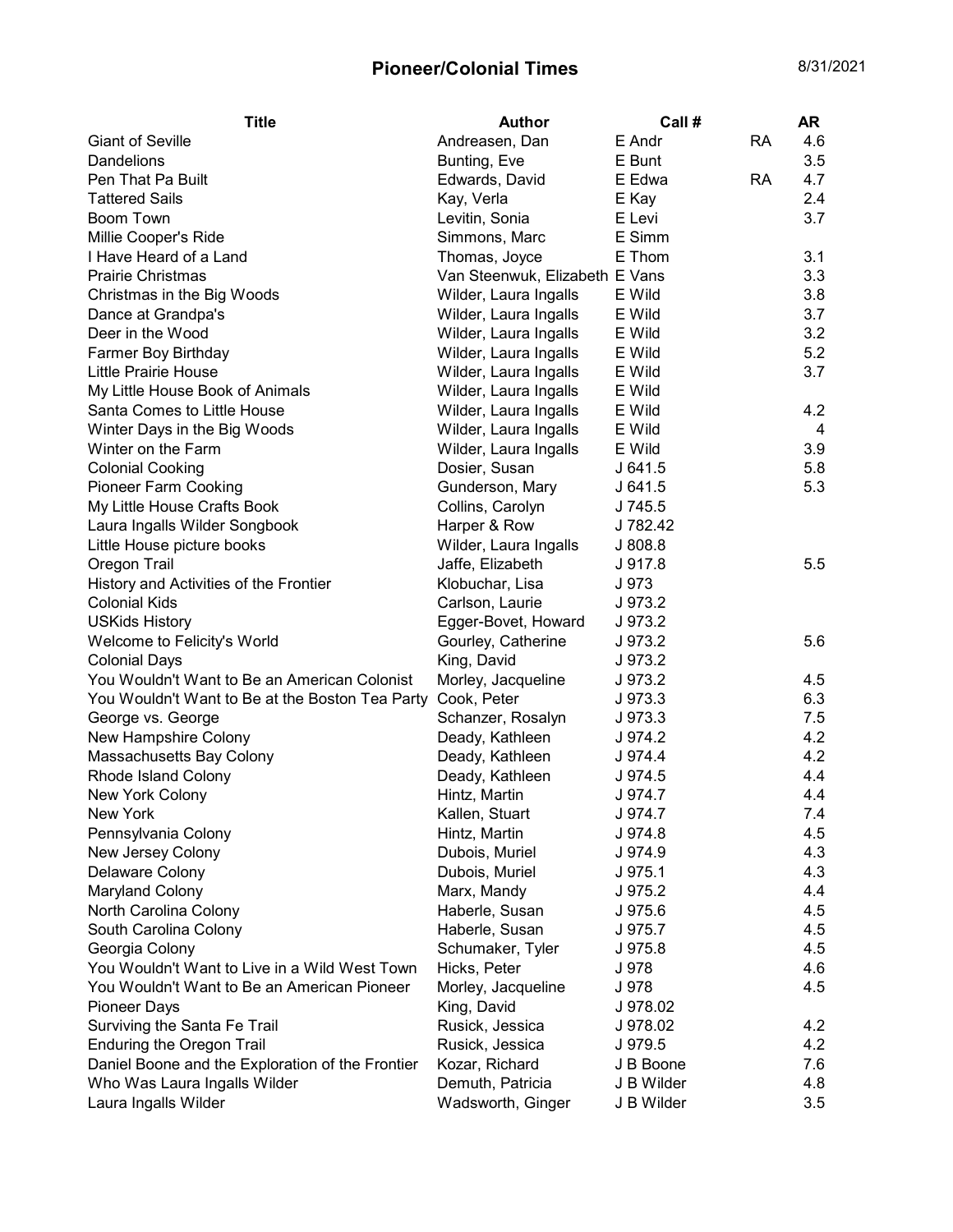## Pioneer/Colonial Times 8/31/2021

| <b>Giant of Seville</b><br>Andreasen, Dan<br>E Andr                           | <b>RA</b><br>4.6           |
|-------------------------------------------------------------------------------|----------------------------|
| Dandelions<br>Bunting, Eve<br>E Bunt                                          | 3.5                        |
| Pen That Pa Built<br>Edwards, David                                           | E Edwa<br><b>RA</b><br>4.7 |
| <b>Tattered Sails</b><br>Kay, Verla<br>E Kay                                  | 2.4                        |
| Boom Town<br>Levitin, Sonia<br>E Levi                                         | 3.7                        |
| Millie Cooper's Ride<br>Simmons, Marc                                         | E Simm                     |
| I Have Heard of a Land<br>Thomas, Joyce                                       | E Thom<br>3.1              |
| <b>Prairie Christmas</b><br>Van Steenwuk, Elizabeth E Vans                    | 3.3                        |
| Wilder, Laura Ingalls<br>E Wild<br>Christmas in the Big Woods                 | 3.8                        |
| Wilder, Laura Ingalls<br>E Wild<br>Dance at Grandpa's                         | 3.7                        |
| Deer in the Wood<br>Wilder, Laura Ingalls<br>E Wild                           | 3.2                        |
| Wilder, Laura Ingalls<br>E Wild<br>Farmer Boy Birthday                        | 5.2                        |
| <b>Little Prairie House</b><br>Wilder, Laura Ingalls<br>E Wild                | 3.7                        |
| Wilder, Laura Ingalls<br>E Wild<br>My Little House Book of Animals            |                            |
| Santa Comes to Little House<br>Wilder, Laura Ingalls<br>E Wild                | 4.2                        |
| Winter Days in the Big Woods<br>Wilder, Laura Ingalls<br>E Wild               | 4                          |
| Winter on the Farm<br>Wilder, Laura Ingalls<br>E Wild                         | 3.9                        |
| <b>Colonial Cooking</b><br>Dosier, Susan<br>J 641.5                           | 5.8                        |
| <b>Pioneer Farm Cooking</b><br>Gunderson, Mary<br>J 641.5                     | 5.3                        |
| My Little House Crafts Book<br>Collins, Carolyn<br>J 745.5                    |                            |
| Laura Ingalls Wilder Songbook<br>Harper & Row                                 | J 782.42                   |
| Little House picture books<br>Wilder, Laura Ingalls<br>J808.8                 |                            |
| Jaffe, Elizabeth<br>Oregon Trail<br>J 917.8                                   | 5.5                        |
| Klobuchar, Lisa<br>History and Activities of the Frontier<br>J 973            |                            |
| <b>Colonial Kids</b><br>Carlson, Laurie<br>J 973.2                            |                            |
| Egger-Bovet, Howard<br>J 973.2<br><b>USKids History</b>                       |                            |
| Welcome to Felicity's World<br>Gourley, Catherine<br>J 973.2                  | 5.6                        |
| King, David<br><b>Colonial Days</b><br>J 973.2                                |                            |
| You Wouldn't Want to Be an American Colonist<br>Morley, Jacqueline<br>J 973.2 | 4.5                        |
| Cook, Peter<br>J973.3<br>You Wouldn't Want to Be at the Boston Tea Party      | 6.3                        |
| George vs. George<br>Schanzer, Rosalyn<br>J 973.3                             | 7.5                        |
| New Hampshire Colony<br>Deady, Kathleen<br>J 974.2                            | 4.2                        |
| Massachusetts Bay Colony<br>Deady, Kathleen<br>J 974.4                        | 4.2                        |
| Deady, Kathleen<br><b>Rhode Island Colony</b><br>J 974.5                      | 4.4                        |
| Hintz, Martin<br>New York Colony<br>J 974.7                                   | 4.4                        |
| Kallen, Stuart<br>New York                                                    | 7.4<br>J 974.7             |
| Pennsylvania Colony<br>Hintz, Martin<br>J 974.8                               | 4.5                        |
| J 974.9<br>New Jersey Colony<br>Dubois, Muriel                                | 4.3                        |
| Delaware Colony<br>Dubois, Muriel<br>J 975.1                                  | 4.3                        |
| Marx, Mandy<br>Maryland Colony<br>J 975.2                                     | 4.4                        |
| North Carolina Colony<br>Haberle, Susan<br>J 975.6                            | 4.5                        |
| South Carolina Colony<br>Haberle, Susan<br>J 975.7                            | 4.5                        |
| Schumaker, Tyler<br>Georgia Colony<br>J 975.8                                 | 4.5                        |
| You Wouldn't Want to Live in a Wild West Town<br>Hicks, Peter<br>J 978        | 4.6                        |
| You Wouldn't Want to Be an American Pioneer<br>Morley, Jacqueline<br>J 978    | 4.5                        |
| Pioneer Days<br>King, David                                                   | J 978.02                   |
| Surviving the Santa Fe Trail<br>Rusick, Jessica                               | J 978.02<br>4.2            |
| <b>Enduring the Oregon Trail</b><br>Rusick, Jessica<br>J 979.5                | 4.2                        |
| Daniel Boone and the Exploration of the Frontier<br>Kozar, Richard            | 7.6<br>J B Boone           |
| Who Was Laura Ingalls Wilder<br>Demuth, Patricia                              | J B Wilder<br>4.8          |
| Laura Ingalls Wilder<br>Wadsworth, Ginger                                     | J B Wilder<br>3.5          |